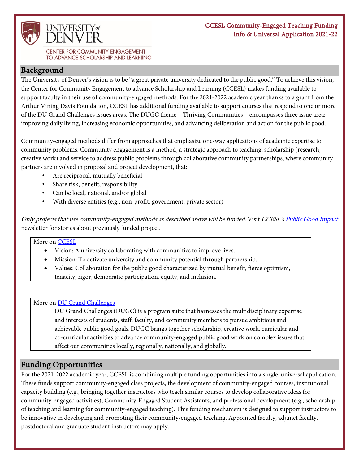

CENTER FOR COMMUNITY ENGAGEMENT TO ADVANCE SCHOLARSHIP AND LEARNING

### Background

The University of Denver's vision is to be "a great private university dedicated to the public good." To achieve this vision, the Center for Community Engagement to advance Scholarship and Learning (CCESL) makes funding available to support faculty in their use of community-engaged methods. For the 2021-2022 academic year thanks to a grant from the Arthur Vining Davis Foundation, CCESL has additional funding available to support courses that respond to one or more of the DU Grand Challenges issues areas. The DUGC theme—Thriving Communities—encompasses three issue area: improving daily living, increasing economic opportunities, and advancing deliberation and action for the public good.

Community-engaged methods differ from approaches that emphasize one-way applications of academic expertise to community problems. Community engagement is a method, a strategic approach to teaching, scholarship (research, creative work) and service to address public problems through collaborative community partnerships, where community partners are involved in proposal and project development, that:

- Are reciprocal, mutually beneficial
- Share risk, benefit, responsibility
- Can be local, national, and/or global
- With diverse entities (e.g., non-profit, government, private sector)

Only projects that use community-engaged methods as described above will be funded. Visit CCESL'[s Public Good Impact](https://publicgoodimpact.com/) newsletter for stories about previously funded project.

### More on [CCESL](http://www.du.edu/ccesl)

- Vision: A university collaborating with communities to improve lives.
- Mission: To activate university and community potential through partnership.
- Values: Collaboration for the public good characterized by mutual benefit, fierce optimism, tenacity, rigor, democratic participation, equity, and inclusion.

#### More on [DU Grand Challenges](https://grandchallenges.du.edu/)

DU Grand Challenges (DUGC) is a program suite that harnesses the multidisciplinary expertise and interests of students, staff, faculty, and community members to pursue ambitious and achievable public good goals.DUGC brings together scholarship, creative work, curricular and co-curricular activities to advance community-engaged public good work on complex issues that affect our communities locally, regionally, nationally, and globally.

## Funding Opportunities

For the 2021-2022 academic year, CCESL is combining multiple funding opportunities into a single, universal application. These funds support community-engaged class projects, the development of community-engaged courses, institutional capacity building (e.g., bringing together instructors who teach similar courses to develop collaborative ideas for community-engaged activities), Community-Engaged Student Assistants, and professional development (e.g., scholarship of teaching and learning for community-engaged teaching). This funding mechanism is designed to support instructors to be innovative in developing and promoting their community-engaged teaching. Appointed faculty, adjunct faculty, postdoctoral and graduate student instructors may apply.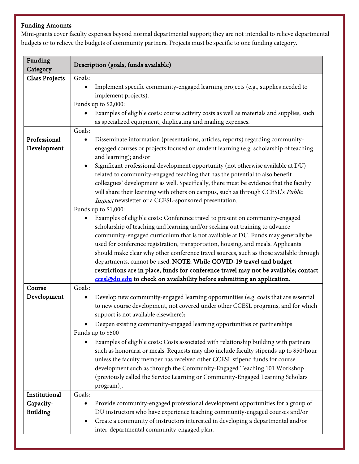### Funding Amounts

Funding Tunding Description (goals, funds available) Class Projects Goals: • Implement specific community-engaged learning projects (e.g., supplies needed to implement projects). Funds up to \$2,000: • Examples of eligible costs: course activity costs as well as materials and supplies, such as specialized equipment, duplicating and mailing expenses. Professional Development Goals: • Disseminate information (presentations, articles, reports) regarding communityengaged courses or projects focused on student learning (e.g. scholarship of teaching and learning); and/or • Significant professional development opportunity (not otherwise available at DU) related to community-engaged teaching that has the potential to also benefit colleagues' development as well. Specifically, there must be evidence that the faculty will share their learning with others on campus, such as through CCESL's Public Impact newsletter or a CCESL-sponsored presentation. Funds up to \$1,000: • Examples of eligible costs: Conference travel to present on community-engaged scholarship of teaching and learning and/or seeking out training to advance community-engaged curriculum that is not available at DU. Funds may generally be used for conference registration, transportation, housing, and meals. Applicants should make clear why other conference travel sources, such as those available through departments, cannot be used. NOTE: While COVID-19 travel and budget restrictions are in place, funds for conference travel may not be available; contact [ccesl@du.edu](mailto:ccesl@du.edu) to check on availability before submitting an application. Course Development Goals: • Develop new community-engaged learning opportunities (e.g. costs that are essential to new course development, not covered under other CCESL programs, and for which support is not available elsewhere); • Deepen existing community-engaged learning opportunities or partnerships Funds up to \$500 • Examples of eligible costs: Costs associated with relationship building with partners such as honoraria or meals. Requests may also include faculty stipends up to \$50/hour unless the faculty member has received other CCESL stipend funds for course development such as through the Community-Engaged Teaching 101 Workshop (previously called the Service Learning or Community-Engaged Learning Scholars program)]. **Institutional** Capacity-Building Goals: • Provide community-engaged professional development opportunities for a group of DU instructors who have experience teaching community-engaged courses and/or • Create a community of instructors interested in developing a departmental and/or inter-departmental community-engaged plan.

Mini-grants cover faculty expenses beyond normal departmental support; they are not intended to relieve departmental budgets or to relieve the budgets of community partners. Projects must be specific to one funding category.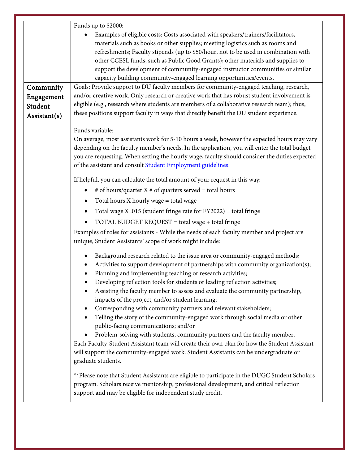|              | Funds up to \$2000:                                                                                                                                                                                                                                                                                                                                                                                                                                                                                                                                                                                                                                                                                                                                                                                                                                                                                                                       |  |  |
|--------------|-------------------------------------------------------------------------------------------------------------------------------------------------------------------------------------------------------------------------------------------------------------------------------------------------------------------------------------------------------------------------------------------------------------------------------------------------------------------------------------------------------------------------------------------------------------------------------------------------------------------------------------------------------------------------------------------------------------------------------------------------------------------------------------------------------------------------------------------------------------------------------------------------------------------------------------------|--|--|
|              | Examples of eligible costs: Costs associated with speakers/trainers/facilitators,<br>materials such as books or other supplies; meeting logistics such as rooms and<br>refreshments; Faculty stipends (up to \$50/hour, not to be used in combination with<br>other CCESL funds, such as Public Good Grants); other materials and supplies to<br>support the development of community-engaged instructor communities or similar<br>capacity building community-engaged learning opportunities/events.                                                                                                                                                                                                                                                                                                                                                                                                                                     |  |  |
| Community    | Goals: Provide support to DU faculty members for community-engaged teaching, research,                                                                                                                                                                                                                                                                                                                                                                                                                                                                                                                                                                                                                                                                                                                                                                                                                                                    |  |  |
| Engagement   | and/or creative work. Only research or creative work that has robust student involvement is                                                                                                                                                                                                                                                                                                                                                                                                                                                                                                                                                                                                                                                                                                                                                                                                                                               |  |  |
| Student      | eligible (e.g., research where students are members of a collaborative research team); thus,                                                                                                                                                                                                                                                                                                                                                                                                                                                                                                                                                                                                                                                                                                                                                                                                                                              |  |  |
| Assistant(s) | these positions support faculty in ways that directly benefit the DU student experience.                                                                                                                                                                                                                                                                                                                                                                                                                                                                                                                                                                                                                                                                                                                                                                                                                                                  |  |  |
|              | Funds variable:                                                                                                                                                                                                                                                                                                                                                                                                                                                                                                                                                                                                                                                                                                                                                                                                                                                                                                                           |  |  |
|              | On average, most assistants work for 5-10 hours a week, however the expected hours may vary<br>depending on the faculty member's needs. In the application, you will enter the total budget<br>you are requesting. When setting the hourly wage, faculty should consider the duties expected<br>of the assistant and consult <b>Student Employment guidelines</b> .                                                                                                                                                                                                                                                                                                                                                                                                                                                                                                                                                                       |  |  |
|              | If helpful, you can calculate the total amount of your request in this way:                                                                                                                                                                                                                                                                                                                                                                                                                                                                                                                                                                                                                                                                                                                                                                                                                                                               |  |  |
|              | # of hours/quarter $X \#$ of quarters served = total hours                                                                                                                                                                                                                                                                                                                                                                                                                                                                                                                                                                                                                                                                                                                                                                                                                                                                                |  |  |
|              | Total hours X hourly wage = total wage<br>$\bullet$                                                                                                                                                                                                                                                                                                                                                                                                                                                                                                                                                                                                                                                                                                                                                                                                                                                                                       |  |  |
|              | Total wage X .015 (student fringe rate for $FY2022$ ) = total fringe                                                                                                                                                                                                                                                                                                                                                                                                                                                                                                                                                                                                                                                                                                                                                                                                                                                                      |  |  |
|              | TOTAL BUDGET REQUEST = total wage + total fringe<br>٠                                                                                                                                                                                                                                                                                                                                                                                                                                                                                                                                                                                                                                                                                                                                                                                                                                                                                     |  |  |
|              | Examples of roles for assistants - While the needs of each faculty member and project are<br>unique, Student Assistants' scope of work might include:                                                                                                                                                                                                                                                                                                                                                                                                                                                                                                                                                                                                                                                                                                                                                                                     |  |  |
|              | Background research related to the issue area or community-engaged methods;<br>Activities to support development of partnerships with community organization(s);<br>Planning and implementing teaching or research activities;<br>Developing reflection tools for students or leading reflection activities;<br>Assisting the faculty member to assess and evaluate the community partnership,<br>impacts of the project, and/or student learning;<br>Corresponding with community partners and relevant stakeholders;<br>Telling the story of the community-engaged work through social media or other<br>public-facing communications; and/or<br>Problem-solving with students, community partners and the faculty member.<br>Each Faculty-Student Assistant team will create their own plan for how the Student Assistant<br>will support the community-engaged work. Student Assistants can be undergraduate or<br>graduate students. |  |  |
|              | **Please note that Student Assistants are eligible to participate in the DUGC Student Scholars<br>program. Scholars receive mentorship, professional development, and critical reflection<br>support and may be eligible for independent study credit.                                                                                                                                                                                                                                                                                                                                                                                                                                                                                                                                                                                                                                                                                    |  |  |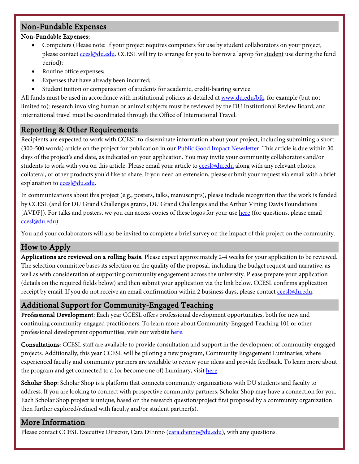# Non-Fundable Expenses

### Non-Fundable Expenses;

- Computers (Please note: If your project requires computers for use by student collaborators on your project, please contact contact contact contact contact and try to arrange for you to borrow a laptop for student use during the fund period);
- Routine office expenses;
- Expenses that have already been incurred;
- Student tuition or compensation of students for academic, credit-bearing service.

All funds must be used in accordance with institutional policies as detailed a[t www.du.edu/bfa,](http://www.du.edu/bfa) for example (but not limited to): research involving human or animal subjects must be reviewed by the DU Institutional Review Board; and international travel must be coordinated through the Office of International Travel.

# Reporting & Other Requirements

Recipients are expected to work with CCESL to disseminate information about your project, including submitting a short (300-500 words) article on the project for publication in our [Public Good](https://publicgoodimpact.com/) Impact Newsletter. This article is due within 30 days of the project's end date, as indicated on your application. You may invite your community collaborators and/or students to work with you on this article. Please email your article t[o ccesl@du.edu](mailto:ccesl@du.edu) along with any relevant photos, collateral, or other products you'd like to share. If you need an extension, please submit your request via email with a brief explanation to [ccesl@du.edu.](mailto:ccesl@du.edu)

In communications about this project (e.g., posters, talks, manuscripts), please include recognition that the work is funded by CCESL (and for DU Grand Challenges grants, DU Grand Challenges and the Arthur Vining Davis Foundations [AVDF]). For talks and posters, we you can access copies of these logos for your use [here](https://denveru.sharepoint.com/:f:/s/CCESLStaff/Et8MATUyUClDmMdsmHrBjvABI176C-vWBF-H_3K0JTbhWg?e=dVdy7A) (for questions, please email [ccesl@du.edu\)](mailto:ccesl@du.edu).

You and your collaborators will also be invited to complete a brief survey on the impact of this project on the community.

# How to Apply

Applications are reviewed on a rolling basis. Please expect approximately 2-4 weeks for your application to be reviewed. The selection committee bases its selection on the quality of the proposal, including the budget request and narrative, as well as with consideration of supporting community engagement across the university. Please prepare your application (details on the required fields below) and then submit your application via the link below. CCESL confirms application receipt by email. If you do not receive an email confirmation within 2 business days, please contac[t ccesl@du.edu.](mailto:ccesl@du.edu)

# Additional Support for Community-Engaged Teaching

Professional Development: Each year CCESL offers professional development opportunities, both for new and continuing community-engaged practitioners. To learn more about Community-Engaged Teaching 101 or other professional development opportunities, visit our website [here.](https://www.du.edu/ccesl/ourwork/bridge.html)

Consultations: CCESL staff are available to provide consultation and support in the development of community-engaged projects. Additionally, this year CCESL will be piloting a new program, Community Engagement Luminaries, where experienced faculty and community partners are available to review your ideas and provide feedback. To learn more about the program and get connected to a (or become one of) Luminary, visit [here.](https://www.du.edu/ccesl/ourwork/bridging_learning/cetprogram.html)

Scholar Shop: Scholar Shop is a platform that connects community organizations with DU students and faculty to address. If you are looking to connect with prospective community partners, Scholar Shop may have a connection for you. Each Scholar Shop project is unique, based on the research question/project first proposed by a community organization then further explored/refined with faculty and/or student partner(s).

# More Information

Please contact CCESL Executive Director, Cara DiEnno [\(cara.dienno@du.edu\)](mailto:cara.dienno@du.edu), with any questions.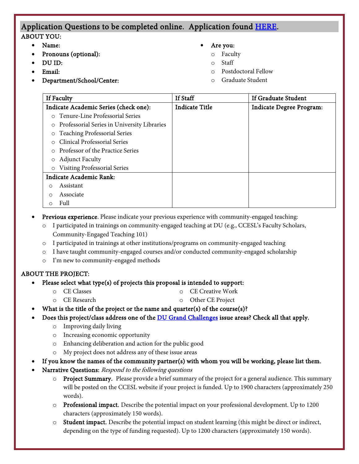# Application Questions to be completed online. Application found [HERE.](https://udenver.qualtrics.com/jfe/form/SV_7O4qsUfB1Yu00Rw)

#### ABOUT YOU:

- Name:
	- Pronouns (optional):
- DU ID:
- Email:
- Department/School/Center:
- Are you:
	- o Faculty
	- Staff
	- Postdoctoral Fellow
	- Graduate Student

| If Faculty                                             | <b>If Staff</b>       | If Graduate Student             |
|--------------------------------------------------------|-----------------------|---------------------------------|
| Indicate Academic Series (check one):                  | <b>Indicate Title</b> | <b>Indicate Degree Program:</b> |
| Tenure-Line Professorial Series<br>$\Omega$            |                       |                                 |
| Professorial Series in University Libraries<br>$\circ$ |                       |                                 |
| <b>Teaching Professorial Series</b><br>$\circ$         |                       |                                 |
| <b>Clinical Professorial Series</b>                    |                       |                                 |
| Professor of the Practice Series                       |                       |                                 |
| <b>Adjunct Faculty</b><br>$\circ$                      |                       |                                 |
| <b>Visiting Professorial Series</b><br>$\circ$         |                       |                                 |
| Indicate Academic Rank:                                |                       |                                 |
| Assistant                                              |                       |                                 |
| Associate                                              |                       |                                 |
| Full                                                   |                       |                                 |

- Previous experience. Please indicate your previous experience with community-engaged teaching:
	- o I participated in trainings on community-engaged teaching at DU (e.g., CCESL's Faculty Scholars, Community-Engaged Teaching 101)
	- o I participated in trainings at other institutions/programs on community-engaged teaching
	- I have taught community-engaged courses and/or conducted community-engaged scholarship
	- o I'm new to community-engaged methods

### ABOUT THE PROJECT:

### • Please select what type(s) of projects this proposal is intended to support:

- o CE Classes o CE Creative Work
- o CE Research
- o Other CE Project What is the title of the project or the name and quarter(s) of the course(s)?
- Does this project/class address one of the **DU Grand Challenges** issue areas? Check all that apply.
	- o Improving daily living
	- o Increasing economic opportunity
	- o Enhancing deliberation and action for the public good
	- o My project does not address any of these issue areas
- If you know the names of the community partner(s) with whom you will be working, please list them.
- Narrative Questions: Respond to the following questions
	- o Project Summary. Please provide a brief summary of the project for a general audience. This summary will be posted on the CCESL website if your project is funded. Up to 1900 characters (approximately 250 words).
	- $\circ$  Professional impact. Describe the potential impact on your professional development. Up to 1200 characters (approximately 150 words).
	- o Student impact. Describe the potential impact on student learning (this might be direct or indirect, depending on the type of funding requested). Up to 1200 characters (approximately 150 words).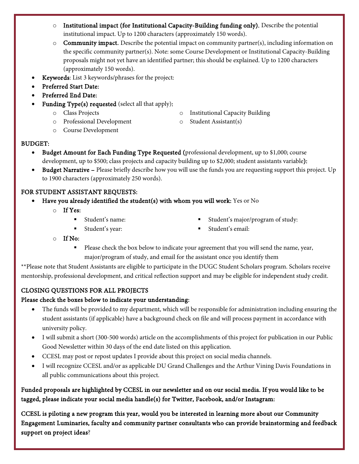- o Institutional impact (for Institutional Capacity-Building funding only). Describe the potential institutional impact. Up to 1200 characters (approximately 150 words).
- $\circ$  **Community impact.** Describe the potential impact on community partner(s), including information on the specific community partner(s). Note: some Course Development or Institutional Capacity-Building proposals might not yet have an identified partner; this should be explained. Up to 1200 characters (approximately 150 words).
- Keywords: List 3 keywords/phrases for the project:
- Preferred Start Date:
- Preferred End Date:
- Funding Type(s) requested (select all that apply):
	- o Class Projects
	- o Professional Development
- o Institutional Capacity Building
- o Student Assistant(s)

o Course Development

### BUDGET:

- Budget Amount for Each Funding Type Requested (professional development, up to \$1,000; course development, up to \$500; class projects and capacity building up to \$2,000; student assistants variable):
- Budget Narrative Please briefly describe how you will use the funds you are requesting support this project. Up to 1900 characters (approximately 250 words).

### FOR STUDENT ASSISTANT REQUESTS:

- Have you already identified the student(s) with whom you will work: Yes or No
	- o If Yes:
		- Student's name:

Student's major/program of study:

Student's year:

Student's email:

- o If No:
	- Please check the box below to indicate your agreement that you will send the name, year, major/program of study, and email for the assistant once you identify them

\*\*Please note that Student Assistants are eligible to participate in the DUGC Student Scholars program. Scholars receive mentorship, professional development, and critical reflection support and may be eligible for independent study credit.

## CLOSING QUESTIONS FOR ALL PROJECTS

## Please check the boxes below to indicate your understanding:

- The funds will be provided to my department, which will be responsible for administration including ensuring the student assistants (if applicable) have a background check on file and will process payment in accordance with university policy.
- I will submit a short (300-500 words) article on the accomplishments of this project for publication in our Public Good Newsletter within 30 days of the end date listed on this application.
- CCESL may post or repost updates I provide about this project on social media channels.
- I will recognize CCESL and/or as applicable DU Grand Challenges and the Arthur Vining Davis Foundations in all public communications about this project.

Funded proposals are highlighted by CCESL in our newsletter and on our social media. If you would like to be tagged, please indicate your social media handle(s) for Twitter, Facebook, and/or Instagram:

CCESL is piloting a new program this year, would you be interested in learning more about our Community Engagement Luminaries, faculty and community partner consultants who can provide brainstorming and feedback support on project ideas?